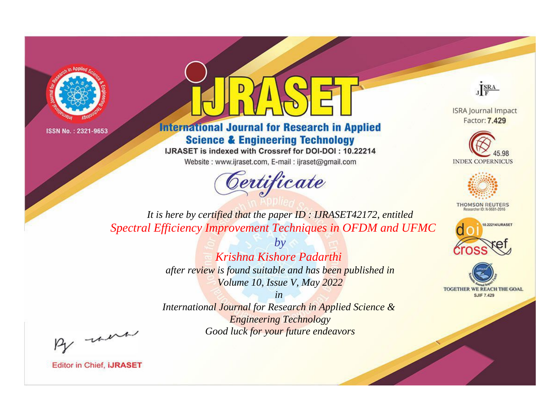



**International Journal for Research in Applied Science & Engineering Technology** 

IJRASET is indexed with Crossref for DOI-DOI: 10.22214

Website: www.ijraset.com, E-mail: ijraset@gmail.com



JERA

**ISRA Journal Impact** Factor: 7.429





**THOMSON REUTERS** 



TOGETHER WE REACH THE GOAL **SJIF 7.429** 

*It is here by certified that the paper ID : IJRASET42172, entitled Spectral Efficiency Improvement Techniques in OFDM and UFMC*

> *by Krishna Kishore Padarthi after review is found suitable and has been published in Volume 10, Issue V, May 2022*

> > *in*

*International Journal for Research in Applied Science & Engineering Technology Good luck for your future endeavors*

By morn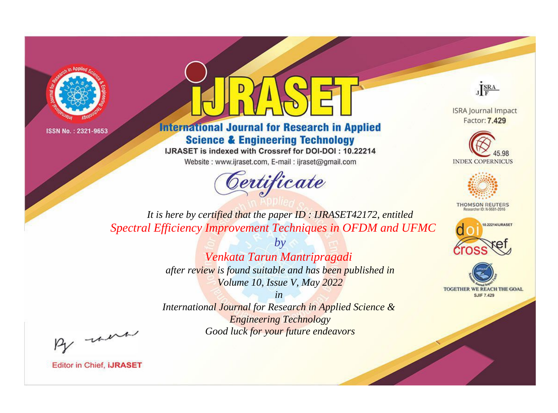



**International Journal for Research in Applied Science & Engineering Technology** 

IJRASET is indexed with Crossref for DOI-DOI: 10.22214

Website: www.ijraset.com, E-mail: ijraset@gmail.com



JERA

**ISRA Journal Impact** Factor: 7.429





**THOMSON REUTERS** 



TOGETHER WE REACH THE GOAL **SJIF 7.429** 

*It is here by certified that the paper ID : IJRASET42172, entitled Spectral Efficiency Improvement Techniques in OFDM and UFMC*

> *Venkata Tarun Mantripragadi after review is found suitable and has been published in Volume 10, Issue V, May 2022*

*by*

*in* 

*International Journal for Research in Applied Science & Engineering Technology Good luck for your future endeavors*

By morn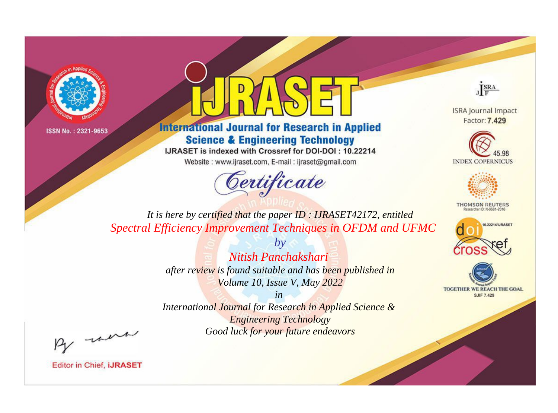



**International Journal for Research in Applied Science & Engineering Technology** 

IJRASET is indexed with Crossref for DOI-DOI: 10.22214

Website: www.ijraset.com, E-mail: ijraset@gmail.com



JERA

**ISRA Journal Impact** Factor: 7.429





**THOMSON REUTERS** 



TOGETHER WE REACH THE GOAL **SJIF 7.429** 

*It is here by certified that the paper ID : IJRASET42172, entitled Spectral Efficiency Improvement Techniques in OFDM and UFMC*

> *Nitish Panchakshari after review is found suitable and has been published in Volume 10, Issue V, May 2022*

*by*

*in* 

*International Journal for Research in Applied Science & Engineering Technology Good luck for your future endeavors*

By morn